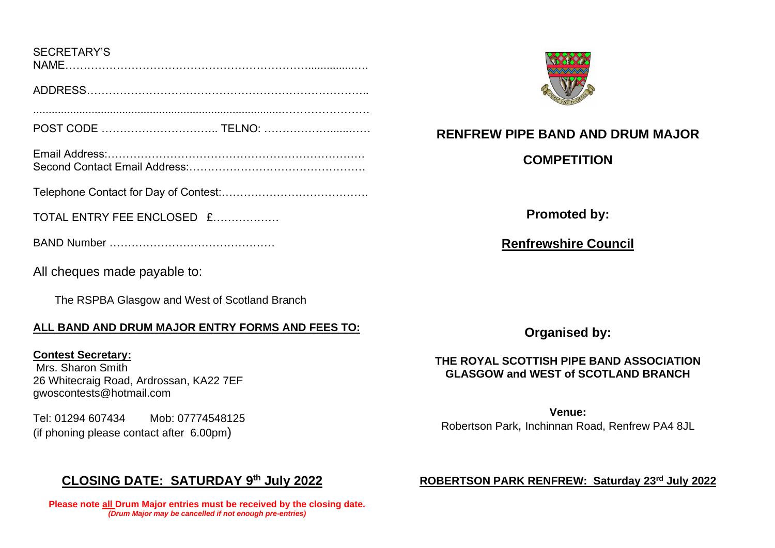| <b>SECRETARY'S</b> |  |  |  |
|--------------------|--|--|--|
| NIAME              |  |  |  |

ADDRESS…………………………………………………………………..

POST CODE ………………………….. TELNO: ………………......……

.................................................................................……………………

Email Address:……………………………………………………………. Second Contact Email Address:

Telephone Contact for Day of Contest:………………………………….

TOTAL ENTRY FFF ENCLOSED  $f$ 

BAND Number ………………………………………

All cheques made payable to:

The RSPBA Glasgow and West of Scotland Branch

# **ALL BAND AND DRUM MAJOR ENTRY FORMS AND FEES TO:**

**Contest Secretary:**  Mrs. Sharon Smith 26 Whitecraig Road, Ardrossan, KA22 7EF [gwoscontests@hotmail.com](mailto:gwoscontests@hotmail.com) 

Tel: 01294 607434 Mob: 07774548125 (if phoning please contact after 6.00pm)

# **CLOSING DATE: SATURDAY 9 th July 2022**

**Please note all Drum Major entries must be received by the closing date.** *(Drum Major may be cancelled if not enough pre-entries)*



**RENFREW PIPE BAND AND DRUM MAJOR**

**COMPETITION**

**Promoted by:**

**Renfrewshire Council**

**Organised by:**

# **THE ROYAL SCOTTISH PIPE BAND ASSOCIATION GLASGOW and WEST of SCOTLAND BRANCH**

**Venue:** Robertson Park, Inchinnan Road, Renfrew PA4 8JL

### **ROBERTSON PARK RENFREW: Saturday 23rd July 2022**